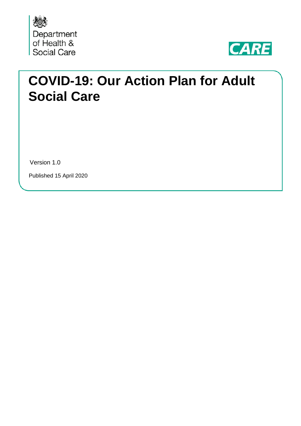



# **COVID-19: Our Action Plan for Adult Social Care**

Version 1.0

Published 15 April 2020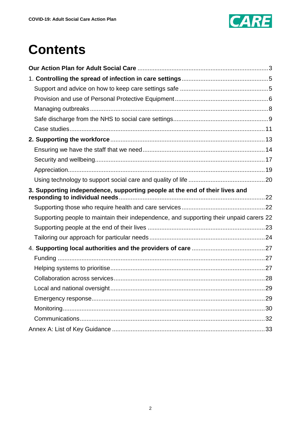

# **Contents**

| 3. Supporting independence, supporting people at the end of their lives and             |  |
|-----------------------------------------------------------------------------------------|--|
|                                                                                         |  |
| Supporting people to maintain their independence, and supporting their unpaid carers 22 |  |
|                                                                                         |  |
|                                                                                         |  |
|                                                                                         |  |
|                                                                                         |  |
|                                                                                         |  |
|                                                                                         |  |
|                                                                                         |  |
|                                                                                         |  |
|                                                                                         |  |
|                                                                                         |  |
|                                                                                         |  |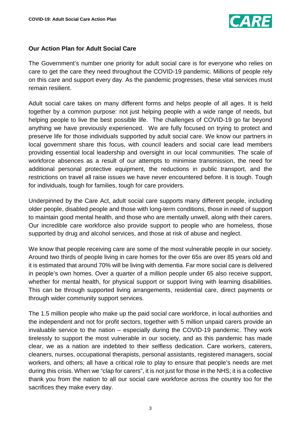

# <span id="page-2-0"></span>**Our Action Plan for Adult Social Care**

The Government's number one priority for adult social care is for everyone who relies on care to get the care they need throughout the COVID-19 pandemic. Millions of people rely on this care and support every day. As the pandemic progresses, these vital services must remain resilient.

Adult social care takes on many different forms and helps people of all ages. It is held together by a common purpose: not just helping people with a wide range of needs, but helping people to live the best possible life. The challenges of COVID-19 go far beyond anything we have previously experienced. We are fully focused on trying to protect and preserve life for those individuals supported by adult social care. We know our partners in local government share this focus, with council leaders and social care lead members providing essential local leadership and oversight in our local communities. The scale of workforce absences as a result of our attempts to minimise transmission, the need for additional personal protective equipment, the reductions in public transport, and the restrictions on travel all raise issues we have never encountered before. It is tough. Tough for individuals, tough for families, tough for care providers.

Underpinned by the Care Act, adult social care supports many different people, including older people, disabled people and those with long-term conditions, those in need of support to maintain good mental health, and those who are mentally unwell, along with their carers. Our incredible care workforce also provide support to people who are homeless, those supported by drug and alcohol services, and those at risk of abuse and neglect.

We know that people receiving care are some of the most vulnerable people in our society. Around two thirds of people living in care homes for the over 65s are over 85 years old and it is estimated that around 70% will be living with dementia. Far more social care is delivered in people's own homes. Over a quarter of a million people under 65 also receive support, whether for mental health, for physical support or support living with learning disabilities. This can be through supported living arrangements, residential care, direct payments or through wider community support services.

The 1.5 million people who make up the paid social care workforce, in local authorities and the independent and not for profit sectors, together with 5 million unpaid carers provide an invaluable service to the nation – especially during the COVID-19 pandemic. They work tirelessly to support the most vulnerable in our society, and as this pandemic has made clear, we as a nation are indebted to their selfless dedication. Care workers, caterers, cleaners, nurses, occupational therapists, personal assistants, registered managers, social workers, and others; all have a critical role to play to ensure that people's needs are met during this crisis. When we "clap for carers", it is not just for those in the NHS; it is a collective thank you from the nation to all our social care workforce across the country too for the sacrifices they make every day.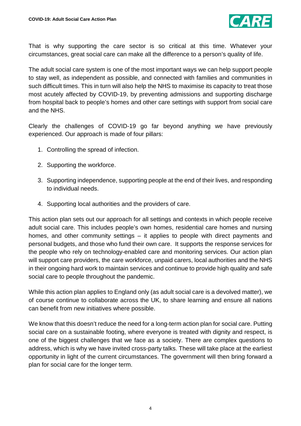

That is why supporting the care sector is so critical at this time. Whatever your circumstances, great social care can make all the difference to a person's quality of life.

The adult social care system is one of the most important ways we can help support people to stay well, as independent as possible, and connected with families and communities in such difficult times. This in turn will also help the NHS to maximise its capacity to treat those most acutely affected by COVID-19, by preventing admissions and supporting discharge from hospital back to people's homes and other care settings with support from social care and the NHS.

Clearly the challenges of COVID-19 go far beyond anything we have previously experienced. Our approach is made of four pillars:

- 1. Controlling the spread of infection.
- 2. Supporting the workforce.
- 3. Supporting independence, supporting people at the end of their lives, and responding to individual needs.
- 4. Supporting local authorities and the providers of care.

This action plan sets out our approach for all settings and contexts in which people receive adult social care. This includes people's own homes, residential care homes and nursing homes, and other community settings – it applies to people with direct payments and personal budgets, and those who fund their own care. It supports the response services for the people who rely on technology-enabled care and monitoring services. Our action plan will support care providers, the care workforce, unpaid carers, local authorities and the NHS in their ongoing hard work to maintain services and continue to provide high quality and safe social care to people throughout the pandemic.

While this action plan applies to England only (as adult social care is a devolved matter), we of course continue to collaborate across the UK, to share learning and ensure all nations can benefit from new initiatives where possible.

We know that this doesn't reduce the need for a long-term action plan for social care. Putting social care on a sustainable footing, where everyone is treated with dignity and respect, is one of the biggest challenges that we face as a society. There are complex questions to address, which is why we have invited cross-party talks. These will take place at the earliest opportunity in light of the current circumstances. The government will then bring forward a plan for social care for the longer term.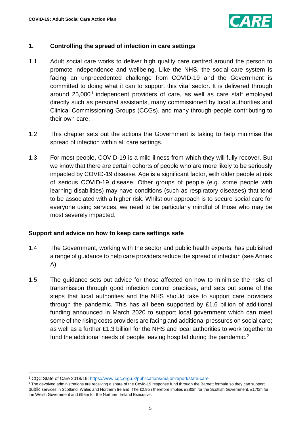

# <span id="page-4-0"></span>**1. Controlling the spread of infection in care settings**

- 1.1 Adult social care works to deliver high quality care centred around the person to promote independence and wellbeing. Like the NHS, the social care system is facing an unprecedented challenge from COVID-19 and the Government is committed to doing what it can to support this vital sector. It is delivered through around  $25,000<sup>1</sup>$  $25,000<sup>1</sup>$  $25,000<sup>1</sup>$  independent providers of care, as well as care staff employed directly such as personal assistants, many commissioned by local authorities and Clinical Commissioning Groups (CCGs), and many through people contributing to their own care.
- 1.2 This chapter sets out the actions the Government is taking to help minimise the spread of infection within all care settings.
- 1.3 For most people, COVID-19 is a mild illness from which they will fully recover. But we know that there are certain cohorts of people who are more likely to be seriously impacted by COVID-19 disease. Age is a significant factor, with older people at risk of serious COVID-19 disease. Other groups of people (e.g. some people with learning disabilities) may have conditions (such as respiratory diseases) that tend to be associated with a higher risk. Whilst our approach is to secure social care for everyone using services, we need to be particularly mindful of those who may be most severely impacted.

### <span id="page-4-1"></span>**Support and advice on how to keep care settings safe**

- 1.4 The Government, working with the sector and public health experts, has published a range of guidance to help care providers reduce the spread of infection (see Annex A).
- 1.5 The guidance sets out advice for those affected on how to minimise the risks of transmission through good infection control practices, and sets out some of the steps that local authorities and the NHS should take to support care providers through the pandemic. This has all been supported by £1.6 billion of additional funding announced in March 2020 to support local government which can meet some of the rising costs providers are facing and additional pressures on social care; as well as a further £1.3 billion for the NHS and local authorities to work together to fund the additional needs of people leaving hospital during the pandemic.<sup>[2](#page-4-3)</sup>

 $\overline{a}$ 

<span id="page-4-2"></span><sup>1</sup> CQC State of Care 2018/19:<https://www.cqc.org.uk/publications/major-report/state-care>

<span id="page-4-3"></span><sup>&</sup>lt;sup>2</sup> The devolved administrations are receiving a share of the Covid-19 response fund through the Barnett formula so they can support public services in Scotland, Wales and Northern Ireland. The £2.9bn therefore implies £280m for the Scottish Government, £170m for the Welsh Government and £95m for the Northern Ireland Executive.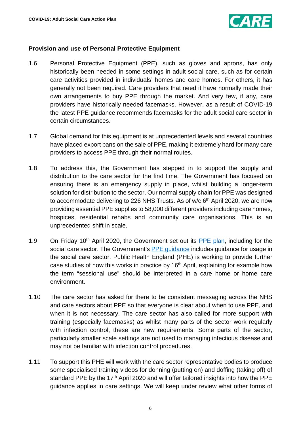

# <span id="page-5-0"></span>**Provision and use of Personal Protective Equipment**

- 1.6 Personal Protective Equipment (PPE), such as gloves and aprons, has only historically been needed in some settings in adult social care, such as for certain care activities provided in individuals' homes and care homes. For others, it has generally not been required. Care providers that need it have normally made their own arrangements to buy PPE through the market. And very few, if any, care providers have historically needed facemasks. However, as a result of COVID-19 the latest PPE guidance recommends facemasks for the adult social care sector in certain circumstances.
- 1.7 Global demand for this equipment is at unprecedented levels and several countries have placed export bans on the sale of PPE, making it extremely hard for many care providers to access PPE through their normal routes.
- 1.8 To address this, the Government has stepped in to support the supply and distribution to the care sector for the first time. The Government has focused on ensuring there is an emergency supply in place, whilst building a longer-term solution for distribution to the sector. Our normal supply chain for PPE was designed to accommodate delivering to 226 NHS Trusts. As of  $w/c$  6<sup>th</sup> April 2020, we are now providing essential PPE supplies to 58,000 different providers including care homes, hospices, residential rehabs and community care organisations. This is an unprecedented shift in scale.
- 1.9 On Friday 10<sup>th</sup> April 2020, the Government set out its [PPE plan,](https://www.gov.uk/government/publications/coronavirus-covid-19-personal-protective-equipment-ppe-plan) including for the social care sector. The Government's PPE quidance includes quidance for usage in the social care sector. Public Health England (PHE) is working to provide further case studies of how this works in practice by 16<sup>th</sup> April, explaining for example how the term "sessional use" should be interpreted in a care home or home care environment.
- 1.10 The care sector has asked for there to be consistent messaging across the NHS and care sectors about PPE so that everyone is clear about when to use PPE, and when it is not necessary. The care sector has also called for more support with training (especially facemasks) as whilst many parts of the sector work regularly with infection control, these are new requirements. Some parts of the sector, particularly smaller scale settings are not used to managing infectious disease and may not be familiar with infection control procedures.
- 1.11 To support this PHE will work with the care sector representative bodies to produce some specialised training videos for donning (putting on) and doffing (taking off) of standard PPE by the  $17<sup>th</sup>$  April 2020 and will offer tailored insights into how the PPE guidance applies in care settings. We will keep under review what other forms of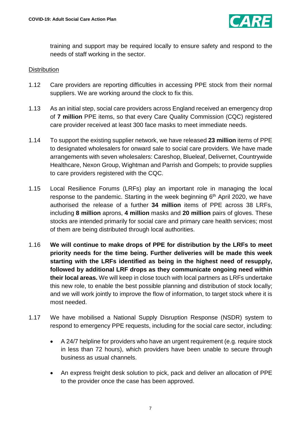

training and support may be required locally to ensure safety and respond to the needs of staff working in the sector.

## **Distribution**

- 1.12 Care providers are reporting difficulties in accessing PPE stock from their normal suppliers. We are working around the clock to fix this.
- 1.13 As an initial step, social care providers across England received an emergency drop of **7 million** PPE items, so that every Care Quality Commission (CQC) registered care provider received at least 300 face masks to meet immediate needs.
- 1.14 To support the existing supplier network, we have released **23 million** items of PPE to designated wholesalers for onward sale to social care providers. We have made arrangements with seven wholesalers: Careshop, Blueleaf, Delivernet, Countrywide Healthcare, Nexon Group, Wightman and Parrish and Gompels; to provide supplies to care providers registered with the CQC.
- 1.15 Local Resilience Forums (LRFs) play an important role in managing the local response to the pandemic. Starting in the week beginning  $6<sup>th</sup>$  April 2020, we have authorised the release of a further **34 million** items of PPE across 38 LRFs, including **8 million** aprons, **4 million** masks and **20 million** pairs of gloves. These stocks are intended primarily for social care and primary care health services; most of them are being distributed through local authorities.
- 1.16 **We will continue to make drops of PPE for distribution by the LRFs to meet priority needs for the time being. Further deliveries will be made this week starting with the LRFs identified as being in the highest need of resupply, followed by additional LRF drops as they communicate ongoing need within their local areas.** We will keep in close touch with local partners as LRFs undertake this new role, to enable the best possible planning and distribution of stock locally; and we will work jointly to improve the flow of information, to target stock where it is most needed.
- 1.17 We have mobilised a National Supply Disruption Response (NSDR) system to respond to emergency PPE requests, including for the social care sector, including:
	- A 24/7 helpline for providers who have an urgent requirement (e.g. require stock in less than 72 hours), which providers have been unable to secure through business as usual channels.
	- An express freight desk solution to pick, pack and deliver an allocation of PPE to the provider once the case has been approved.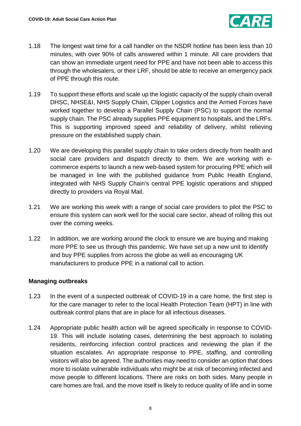

- 1.18 The longest wait time for a call handler on the NSDR hotline has been less than 10 minutes, with over 90% of calls answered within 1 minute. All care providers that can show an immediate urgent need for PPE and have not been able to access this through the wholesalers, or their LRF, should be able to receive an emergency pack of PPE through this route.
- 1.19 To support these efforts and scale up the logistic capacity of the supply chain overall DHSC, NHSE&I, NHS Supply Chain, Clipper Logistics and the Armed Forces have worked together to develop a Parallel Supply Chain (PSC) to support the normal supply chain. The PSC already supplies PPE equipment to hospitals, and the LRFs. This is supporting improved speed and reliability of delivery, whilst relieving pressure on the established supply chain.
- 1.20 We are developing this parallel supply chain to take orders directly from health and social care providers and dispatch directly to them. We are working with ecommerce experts to launch a new web-based system for procuring PPE which will be managed in line with the published guidance from Public Health England, integrated with NHS Supply Chain's central PPE logistic operations and shipped directly to providers via Royal Mail.
- 1.21 We are working this week with a range of social care providers to pilot the PSC to ensure this system can work well for the social care sector, ahead of rolling this out over the coming weeks.
- 1.22 In addition, we are working around the clock to ensure we are buying and making more PPE to see us through this pandemic. We have set up a new unit to identify and buy PPE supplies from across the globe as well as encouraging UK manufacturers to produce PPE in a national call to action.

# <span id="page-7-0"></span>**Managing outbreaks**

- 1.23 In the event of a suspected outbreak of COVID-19 in a care home, the first step is for the care manager to refer to the local Health Protection Team (HPT) in line with outbreak control plans that are in place for all infectious diseases.
- 1.24 Appropriate public health action will be agreed specifically in response to COVID-19. This will include isolating cases, determining the best approach to isolating residents, reinforcing infection control practices and reviewing the plan if the situation escalates. An appropriate response to PPE, staffing, and controlling visitors will also be agreed. The authorities may need to consider an option that does more to isolate vulnerable individuals who might be at risk of becoming infected and move people to different locations. There are risks on both sides. Many people in care homes are frail, and the move itself is likely to reduce quality of life and in some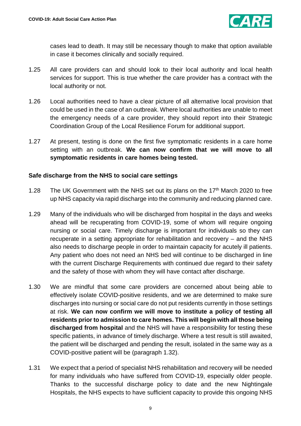

cases lead to death. It may still be necessary though to make that option available in case it becomes clinically and socially required.

- 1.25 All care providers can and should look to their local authority and local health services for support. This is true whether the care provider has a contract with the local authority or not.
- 1.26 Local authorities need to have a clear picture of all alternative local provision that could be used in the case of an outbreak. Where local authorities are unable to meet the emergency needs of a care provider, they should report into their Strategic Coordination Group of the Local Resilience Forum for additional support.
- 1.27 At present, testing is done on the first five symptomatic residents in a care home setting with an outbreak. **We can now confirm that we will move to all symptomatic residents in care homes being tested.**

# <span id="page-8-0"></span>**Safe discharge from the NHS to social care settings**

- 1.28 The UK Government with the NHS set out its plans on the 17<sup>th</sup> March 2020 to free up NHS capacity via rapid discharge into the community and reducing planned care.
- 1.29 Many of the individuals who will be discharged from hospital in the days and weeks ahead will be recuperating from COVID-19, some of whom will require ongoing nursing or social care. Timely discharge is important for individuals so they can recuperate in a setting appropriate for rehabilitation and recovery – and the NHS also needs to discharge people in order to maintain capacity for acutely ill patients. Any patient who does not need an NHS bed will continue to be discharged in line with the current Discharge Requirements with continued due regard to their safety and the safety of those with whom they will have contact after discharge.
- 1.30 We are mindful that some care providers are concerned about being able to effectively isolate COVID-positive residents, and we are determined to make sure discharges into nursing or social care do not put residents currently in those settings at risk. **We can now confirm we will move to institute a policy of testing all residents prior to admission to care homes. This will begin with all those being discharged from hospital** and the NHS will have a responsibility for testing these specific patients, in advance of timely discharge. Where a test result is still awaited, the patient will be discharged and pending the result, isolated in the same way as a COVID-positive patient will be (paragraph 1.32).
- 1.31 We expect that a period of specialist NHS rehabilitation and recovery will be needed for many individuals who have suffered from COVID-19, especially older people. Thanks to the successful discharge policy to date and the new Nightingale Hospitals, the NHS expects to have sufficient capacity to provide this ongoing NHS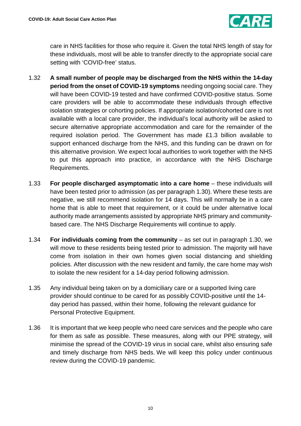

care in NHS facilities for those who require it. Given the total NHS length of stay for these individuals, most will be able to transfer directly to the appropriate social care setting with 'COVID-free' status.

- 1.32 **A small number of people may be discharged from the NHS within the 14-day period from the onset of COVID-19 symptoms** needing ongoing social care. They will have been COVID-19 tested and have confirmed COVID-positive status. Some care providers will be able to accommodate these individuals through effective isolation strategies or cohorting policies. If appropriate isolation/cohorted care is not available with a local care provider, the individual's local authority will be asked to secure alternative appropriate accommodation and care for the remainder of the required isolation period. The Government has made £1.3 billion available to support enhanced discharge from the NHS, and this funding can be drawn on for this alternative provision. We expect local authorities to work together with the NHS to put this approach into practice, in accordance with the NHS Discharge Requirements.
- 1.33 **For people discharged asymptomatic into a care home** these individuals will have been tested prior to admission (as per paragraph 1.30). Where these tests are negative, we still recommend isolation for 14 days. This will normally be in a care home that is able to meet that requirement, or it could be under alternative local authority made arrangements assisted by appropriate NHS primary and communitybased care. The NHS Discharge Requirements will continue to apply.
- 1.34 **For individuals coming from the community** as set out in paragraph 1.30, we will move to these residents being tested prior to admission. The majority will have come from isolation in their own homes given social distancing and shielding policies. After discussion with the new resident and family, the care home may wish to isolate the new resident for a 14-day period following admission.
- 1.35 Any individual being taken on by a domiciliary care or a supported living care provider should continue to be cared for as possibly COVID-positive until the 14 day period has passed, within their home, following the relevant guidance for Personal Protective Equipment.
- 1.36 It is important that we keep people who need care services and the people who care for them as safe as possible. These measures, along with our PPE strategy, will minimise the spread of the COVID-19 virus in social care, whilst also ensuring safe and timely discharge from NHS beds. We will keep this policy under continuous review during the COVID-19 pandemic.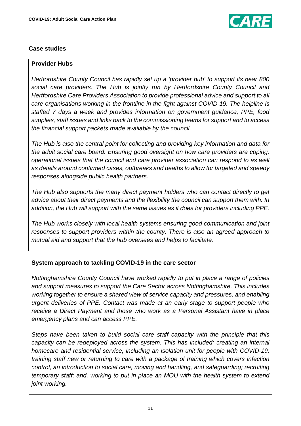

# <span id="page-10-0"></span>**Case studies**

# **Provider Hubs**

*Hertfordshire County Council has rapidly set up a 'provider hub' to support its near 800 social care providers. The Hub is jointly run by Hertfordshire County Council and Hertfordshire Care Providers Association to provide professional advice and support to all care organisations working in the frontline in the fight against COVID-19. The helpline is staffed 7 days a week and provides information on government guidance, PPE, food supplies, staff issues and links back to the commissioning teams for support and to access the financial support packets made available by the council.* 

*The Hub is also the central point for collecting and providing key information and data for the adult social care board. Ensuring good oversight on how care providers are coping, operational issues that the council and care provider association can respond to as well as details around confirmed cases, outbreaks and deaths to allow for targeted and speedy responses alongside public health partners.* 

*The Hub also supports the many direct payment holders who can contact directly to get advice about their direct payments and the flexibility the council can support them with. In addition, the Hub will support with the same issues as it does for providers including PPE.*

*The Hub works closely with local health systems ensuring good communication and joint responses to support providers within the county. There is also an agreed approach to mutual aid and support that the hub oversees and helps to facilitate.*

### **System approach to tackling COVID-19 in the care sector**

*Nottinghamshire County Council have worked rapidly to put in place a range of policies and support measures to support the Care Sector across Nottinghamshire. This includes working together to ensure a shared view of service capacity and pressures, and enabling urgent deliveries of PPE. Contact was made at an early stage to support people who receive a Direct Payment and those who work as a Personal Assistant have in place emergency plans and can access PPE.* 

*Steps have been taken to build social care staff capacity with the principle that this capacity can be redeployed across the system. This has included: creating an internal homecare and residential service, including an isolation unit for people with COVID-19; training staff new or returning to care with a package of training which covers infection control, an introduction to social care, moving and handling, and safeguarding; recruiting temporary staff; and, working to put in place an MOU with the health system to extend joint working.*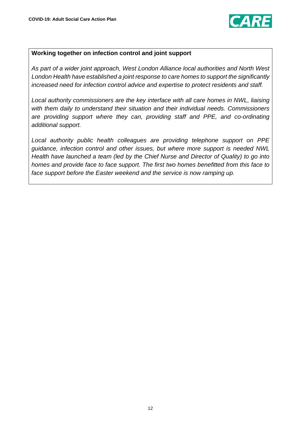

### **Working together on infection control and joint support**

*As part of a wider joint approach, West London Alliance local authorities and North West London Health have established a joint response to care homes to support the significantly increased need for infection control advice and expertise to protect residents and staff.*

*Local authority commissioners are the key interface with all care homes in NWL, liaising with them daily to understand their situation and their individual needs. Commissioners are providing support where they can, providing staff and PPE, and co-ordinating additional support.*

*Local authority public health colleagues are providing telephone support on PPE guidance, infection control and other issues, but where more support is needed NWL Health have launched a team (led by the Chief Nurse and Director of Quality) to go into homes and provide face to face support. The first two homes benefitted from this face to face support before the Easter weekend and the service is now ramping up.*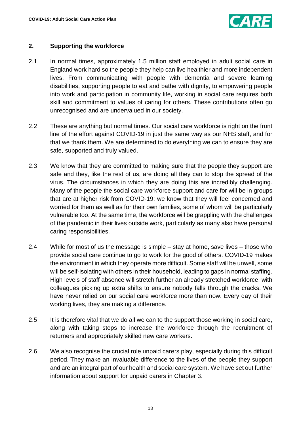

# <span id="page-12-0"></span>**2. Supporting the workforce**

- 2.1 In normal times, approximately 1.5 million staff employed in adult social care in England work hard so the people they help can live healthier and more independent lives. From communicating with people with dementia and severe learning disabilities, supporting people to eat and bathe with dignity, to empowering people into work and participation in community life, working in social care requires both skill and commitment to values of caring for others. These contributions often go unrecognised and are undervalued in our society.
- 2.2 These are anything but normal times. Our social care workforce is right on the front line of the effort against COVID-19 in just the same way as our NHS staff, and for that we thank them. We are determined to do everything we can to ensure they are safe, supported and truly valued.
- 2.3 We know that they are committed to making sure that the people they support are safe and they, like the rest of us, are doing all they can to stop the spread of the virus. The circumstances in which they are doing this are incredibly challenging. Many of the people the social care workforce support and care for will be in groups that are at higher risk from COVID-19; we know that they will feel concerned and worried for them as well as for their own families, some of whom will be particularly vulnerable too. At the same time, the workforce will be grappling with the challenges of the pandemic in their lives outside work, particularly as many also have personal caring responsibilities.
- 2.4 While for most of us the message is simple stay at home, save lives those who provide social care continue to go to work for the good of others. COVID-19 makes the environment in which they operate more difficult. Some staff will be unwell, some will be self-isolating with others in their household, leading to gaps in normal staffing. High levels of staff absence will stretch further an already stretched workforce, with colleagues picking up extra shifts to ensure nobody falls through the cracks. We have never relied on our social care workforce more than now. Every day of their working lives, they are making a difference.
- 2.5 It is therefore vital that we do all we can to the support those working in social care, along with taking steps to increase the workforce through the recruitment of returners and appropriately skilled new care workers.
- 2.6 We also recognise the crucial role unpaid carers play, especially during this difficult period. They make an invaluable difference to the lives of the people they support and are an integral part of our health and social care system. We have set out further information about support for unpaid carers in Chapter 3.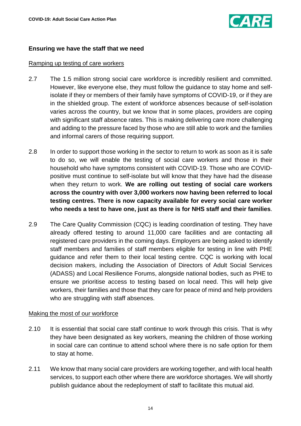

# <span id="page-13-0"></span>**Ensuring we have the staff that we need**

#### Ramping up testing of care workers

- 2.7 The 1.5 million strong social care workforce is incredibly resilient and committed. However, like everyone else, they must follow the guidance to stay home and selfisolate if they or members of their family have symptoms of COVID-19, or if they are in the shielded group. The extent of workforce absences because of self-isolation varies across the country, but we know that in some places, providers are coping with significant staff absence rates. This is making delivering care more challenging and adding to the pressure faced by those who are still able to work and the families and informal carers of those requiring support.
- 2.8 In order to support those working in the sector to return to work as soon as it is safe to do so, we will enable the testing of social care workers and those in their household who have symptoms consistent with COVID-19. Those who are COVIDpositive must continue to self-isolate but will know that they have had the disease when they return to work. **We are rolling out testing of social care workers across the country with over 3,000 workers now having been referred to local testing centres. There is now capacity available for every social care worker who needs a test to have one, just as there is for NHS staff and their families**.
- 2.9 The Care Quality Commission (CQC) is leading coordination of testing. They have already offered testing to around 11,000 care facilities and are contacting all registered care providers in the coming days. Employers are being asked to identify staff members and families of staff members eligible for testing in line with PHE guidance and refer them to their local testing centre. CQC is working with local decision makers, including the Association of Directors of Adult Social Services (ADASS) and Local Resilience Forums, alongside national bodies, such as PHE to ensure we prioritise access to testing based on local need. This will help give workers, their families and those that they care for peace of mind and help providers who are struggling with staff absences.

### Making the most of our workforce

- 2.10 It is essential that social care staff continue to work through this crisis. That is why they have been designated as key workers, meaning the children of those working in social care can continue to attend school where there is no safe option for them to stay at home.
- 2.11 We know that many social care providers are working together, and with local health services, to support each other where there are workforce shortages. We will shortly publish guidance about the redeployment of staff to facilitate this mutual aid.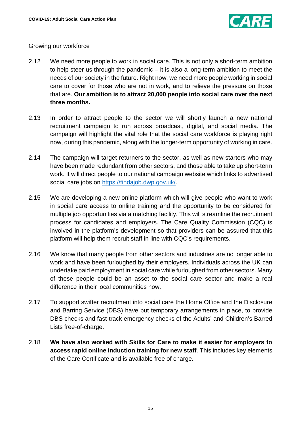

# Growing our workforce

- 2.12 We need more people to work in social care. This is not only a short-term ambition to help steer us through the pandemic – it is also a long-term ambition to meet the needs of our society in the future. Right now, we need more people working in social care to cover for those who are not in work, and to relieve the pressure on those that are. **Our ambition is to attract 20,000 people into social care over the next three months.**
- 2.13 In order to attract people to the sector we will shortly launch a new national recruitment campaign to run across broadcast, digital, and social media. The campaign will highlight the vital role that the social care workforce is playing right now, during this pandemic, along with the longer-term opportunity of working in care.
- 2.14 The campaign will target returners to the sector, as well as new starters who may have been made redundant from other sectors, and those able to take up short-term work. It will direct people to our national campaign website which links to advertised social care jobs on [https://findajob.dwp.gov.uk/.](https://findajob.dwp.gov.uk/)
- 2.15 We are developing a new online platform which will give people who want to work in social care access to online training and the opportunity to be considered for multiple job opportunities via a matching facility. This will streamline the recruitment process for candidates and employers. The Care Quality Commission (CQC) is involved in the platform's development so that providers can be assured that this platform will help them recruit staff in line with CQC's requirements.
- 2.16 We know that many people from other sectors and industries are no longer able to work and have been furloughed by their employers. Individuals across the UK can undertake paid employment in social care while furloughed from other sectors. Many of these people could be an asset to the social care sector and make a real difference in their local communities now.
- 2.17 To support swifter recruitment into social care the Home Office and the Disclosure and Barring Service (DBS) have put temporary arrangements in place, to provide DBS checks and fast-track emergency checks of the Adults' and Children's Barred Lists free-of-charge.
- 2.18 **We have also worked with Skills for Care to make it easier for employers to access rapid online induction training for new staff**. This includes key elements of the Care Certificate and is available free of charge.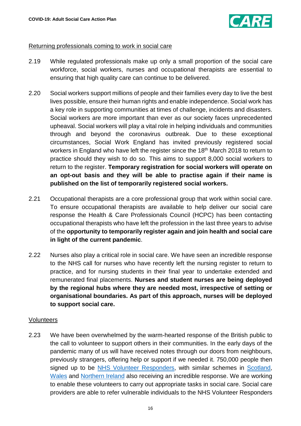

#### Returning professionals coming to work in social care

- 2.19 While regulated professionals make up only a small proportion of the social care workforce, social workers, nurses and occupational therapists are essential to ensuring that high quality care can continue to be delivered.
- 2.20 Social workers support millions of people and their families every day to live the best lives possible, ensure their human rights and enable independence. Social work has a key role in supporting communities at times of challenge, incidents and disasters. Social workers are more important than ever as our society faces unprecedented upheaval. Social workers will play a vital role in helping individuals and communities through and beyond the coronavirus outbreak. Due to these exceptional circumstances, Social Work England has invited previously registered social workers in England who have left the register since the 18<sup>th</sup> March 2018 to return to practice should they wish to do so. This aims to support 8,000 social workers to return to the register. **Temporary registration for social workers will operate on an opt-out basis and they will be able to practise again if their name is published on the list of temporarily registered social workers.**
- 2.21 Occupational therapists are a core professional group that work within social care. To ensure occupational therapists are available to help deliver our social care response the Health & Care Professionals Council (HCPC) has been contacting occupational therapists who have left the profession in the last three years to advise of the **opportunity to temporarily register again and join health and social care in light of the current pandemic**.
- 2.22 Nurses also play a critical role in social care. We have seen an incredible response to the NHS call for nurses who have recently left the nursing register to return to practice, and for nursing students in their final year to undertake extended and remunerated final placements. **Nurses and student nurses are being deployed by the regional hubs where they are needed most, irrespective of setting or organisational boundaries. As part of this approach, nurses will be deployed to support social care.**

#### Volunteers

2.23 We have been overwhelmed by the warm-hearted response of the British public to the call to volunteer to support others in their communities. In the early days of the pandemic many of us will have received notes through our doors from neighbours, previously strangers, offering help or support if we needed it. 750,000 people then signed up to be NHS Volunteer [Responders,](https://www.england.nhs.uk/participation/get-involved/volunteering/nhs-volunteer-responders/) with similar schemes in [Scotland,](http://www.readyscotland.org/) [Wales](https://volunteering-wales.net/vk/volunteers/index-covid.htm) and [Northern Ireland](http://www.volunteernow.co.uk/) also receiving an incredible response. We are working to enable these volunteers to carry out appropriate tasks in social care. Social care providers are able to refer vulnerable individuals to the NHS Volunteer Responders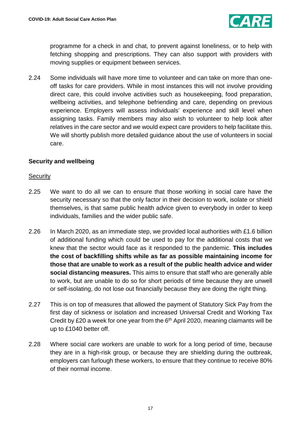

programme for a check in and chat, to prevent against loneliness, or to help with fetching shopping and prescriptions. They can also support with providers with moving supplies or equipment between services.

2.24 Some individuals will have more time to volunteer and can take on more than oneoff tasks for care providers. While in most instances this will not involve providing direct care, this could involve activities such as housekeeping, food preparation, wellbeing activities, and telephone befriending and care, depending on previous experience. Employers will assess individuals' experience and skill level when assigning tasks. Family members may also wish to volunteer to help look after relatives in the care sector and we would expect care providers to help facilitate this. We will shortly publish more detailed guidance about the use of volunteers in social care.

# <span id="page-16-0"></span>**Security and wellbeing**

### **Security**

- 2.25 We want to do all we can to ensure that those working in social care have the security necessary so that the only factor in their decision to work, isolate or shield themselves, is that same public health advice given to everybody in order to keep individuals, families and the wider public safe.
- 2.26 In March 2020, as an immediate step, we provided local authorities with £1.6 billion of additional funding which could be used to pay for the additional costs that we knew that the sector would face as it responded to the pandemic. **This includes the cost of backfilling shifts while as far as possible maintaining income for those that are unable to work as a result of the public health advice and wider social distancing measures.** This aims to ensure that staff who are generally able to work, but are unable to do so for short periods of time because they are unwell or self-isolating, do not lose out financially because they are doing the right thing.
- 2.27 This is on top of measures that allowed the payment of Statutory Sick Pay from the first day of sickness or isolation and increased Universal Credit and Working Tax Credit by £20 a week for one year from the  $6<sup>th</sup>$  April 2020, meaning claimants will be up to £1040 better off.
- 2.28 Where social care workers are unable to work for a long period of time, because they are in a high-risk group, or because they are shielding during the outbreak, employers can furlough these workers, to ensure that they continue to receive 80% of their normal income.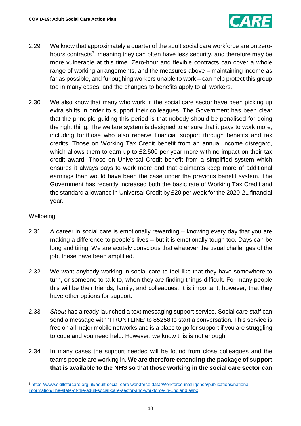

- 2.29 We know that approximately a quarter of the adult social care workforce are on zero-hours contracts<sup>[3](#page-17-0)</sup>, meaning they can often have less security, and therefore may be more vulnerable at this time. Zero-hour and flexible contracts can cover a whole range of working arrangements, and the measures above – maintaining income as far as possible, and furloughing workers unable to work – can help protect this group too in many cases, and the changes to benefits apply to all workers.
- 2.30 We also know that many who work in the social care sector have been picking up extra shifts in order to support their colleagues. The Government has been clear that the principle guiding this period is that nobody should be penalised for doing the right thing. The welfare system is designed to ensure that it pays to work more, including for those who also receive financial support through benefits and tax credits. Those on Working Tax Credit benefit from an annual income disregard, which allows them to earn up to £2,500 per year more with no impact on their tax credit award. Those on Universal Credit benefit from a simplified system which ensures it always pays to work more and that claimants keep more of additional earnings than would have been the case under the previous benefit system. The Government has recently increased both the basic rate of Working Tax Credit and the standard allowance in Universal Credit by £20 per week for the 2020-21 financial year.

# Wellbeing

<u>.</u>

- 2.31 A career in social care is emotionally rewarding knowing every day that you are making a difference to people's lives – but it is emotionally tough too. Days can be long and tiring. We are acutely conscious that whatever the usual challenges of the job, these have been amplified.
- 2.32 We want anybody working in social care to feel like that they have somewhere to turn, or someone to talk to, when they are finding things difficult. For many people this will be their friends, family, and colleagues. It is important, however, that they have other options for support.
- 2.33 *Shout* has already launched a text messaging support service. Social care staff can send a message with 'FRONTLINE' to 85258 to start a conversation. This service is free on all major mobile networks and is a place to go for support if you are struggling to cope and you need help. However, we know this is not enough.
- 2.34 In many cases the support needed will be found from close colleagues and the teams people are working in. **We are therefore extending the package of support that is available to the NHS so that those working in the social care sector can**

<span id="page-17-0"></span><sup>3</sup> [https://www.skillsforcare.org.uk/adult-social-care-workforce-data/Workforce-intelligence/publications/national](https://www.skillsforcare.org.uk/adult-social-care-workforce-data/Workforce-intelligence/publications/national-information/The-state-of-the-adult-social-care-sector-and-workforce-in-England.aspx)[information/The-state-of-the-adult-social-care-sector-and-workforce-in-England.aspx](https://www.skillsforcare.org.uk/adult-social-care-workforce-data/Workforce-intelligence/publications/national-information/The-state-of-the-adult-social-care-sector-and-workforce-in-England.aspx)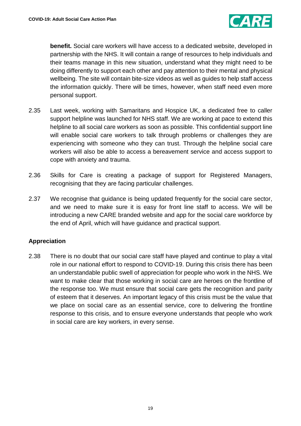

**benefit.** Social care workers will have access to a dedicated website, developed in partnership with the NHS. It will contain a range of resources to help individuals and their teams manage in this new situation, understand what they might need to be doing differently to support each other and pay attention to their mental and physical wellbeing. The site will contain bite-size videos as well as guides to help staff access the information quickly. There will be times, however, when staff need even more personal support.

- 2.35 Last week, working with Samaritans and Hospice UK, a dedicated free to caller support helpline was launched for NHS staff. We are working at pace to extend this helpline to all social care workers as soon as possible. This confidential support line will enable social care workers to talk through problems or challenges they are experiencing with someone who they can trust. Through the helpline social care workers will also be able to access a bereavement service and access support to cope with anxiety and trauma.
- 2.36 Skills for Care is creating a package of support for Registered Managers, recognising that they are facing particular challenges.
- 2.37 We recognise that guidance is being updated frequently for the social care sector, and we need to make sure it is easy for front line staff to access. We will be introducing a new CARE branded website and app for the social care workforce by the end of April, which will have guidance and practical support.

# <span id="page-18-0"></span>**Appreciation**

2.38 There is no doubt that our social care staff have played and continue to play a vital role in our national effort to respond to COVID-19. During this crisis there has been an understandable public swell of appreciation for people who work in the NHS. We want to make clear that those working in social care are heroes on the frontline of the response too. We must ensure that social care gets the recognition and parity of esteem that it deserves. An important legacy of this crisis must be the value that we place on social care as an essential service, core to delivering the frontline response to this crisis, and to ensure everyone understands that people who work in social care are key workers, in every sense.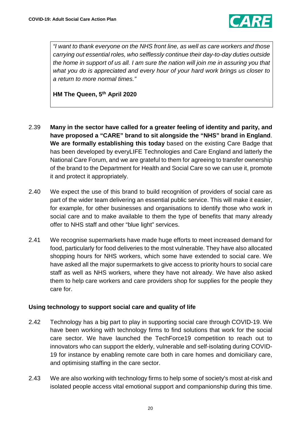

*"I want to thank everyone on the NHS front line, as well as care workers and those carrying out essential roles, who selflessly continue their day-to-day duties outside the home in support of us all. I am sure the nation will join me in assuring you that what you do is appreciated and every hour of your hard work brings us closer to a return to more normal times."*

**HM The Queen, 5th April 2020**

- 2.39 **Many in the sector have called for a greater feeling of identity and parity, and have proposed a "CARE" brand to sit alongside the "NHS" brand in England**. **We are formally establishing this today** based on the existing Care Badge that has been developed by everyLIFE Technologies and Care England and latterly the National Care Forum, and we are grateful to them for agreeing to transfer ownership of the brand to the Department for Health and Social Care so we can use it, promote it and protect it appropriately.
- 2.40 We expect the use of this brand to build recognition of providers of social care as part of the wider team delivering an essential public service. This will make it easier, for example, for other businesses and organisations to identify those who work in social care and to make available to them the type of benefits that many already offer to NHS staff and other "blue light" services.
- 2.41 We recognise supermarkets have made huge efforts to meet increased demand for food, particularly for food deliveries to the most vulnerable. They have also allocated shopping hours for NHS workers, which some have extended to social care. We have asked all the major supermarkets to give access to priority hours to social care staff as well as NHS workers, where they have not already. We have also asked them to help care workers and care providers shop for supplies for the people they care for.

### <span id="page-19-0"></span>**Using technology to support social care and quality of life**

- 2.42 Technology has a big part to play in supporting social care through COVID-19. We have been working with technology firms to find solutions that work for the social care sector. We have launched the TechForce19 competition to reach out to innovators who can support the elderly, vulnerable and self-isolating during COVID-19 for instance by enabling remote care both in care homes and domiciliary care, and optimising staffing in the care sector.
- 2.43 We are also working with technology firms to help some of society's most at-risk and isolated people access vital emotional support and companionship during this time.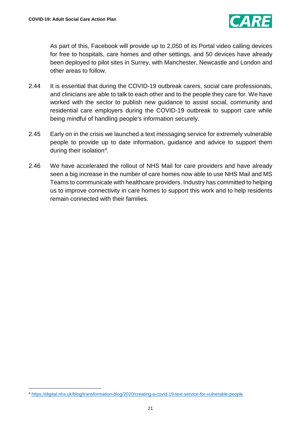

As part of this, Facebook will provide up to 2,050 of its Portal video calling devices for free to hospitals, care homes and other settings, and 50 devices have already been deployed to pilot sites in Surrey, with Manchester, Newcastle and London and other areas to follow.

- 2.44 It is essential that during the COVID-19 outbreak carers, social care professionals, and clinicians are able to talk to each other and to the people they care for. We have worked with the sector to publish new guidance to assist social, community and residential care employers during the COVID-19 outbreak to support care while being mindful of handling people's information securely.
- 2.45 Early on in the crisis we launched a text messaging service for extremely vulnerable people to provide up to date information, guidance and advice to support them during their isolation[4.](#page-20-1)
- <span id="page-20-0"></span>2.46 We have accelerated the rollout of NHS Mail for care providers and have already seen a big increase in the number of care homes now able to use NHS Mail and MS Teams to communicate with healthcare providers. Industry has committed to helping us to improve connectivity in care homes to support this work and to help residents remain connected with their families.

 $\overline{a}$ 

<span id="page-20-1"></span><sup>4</sup> <https://digital.nhs.uk/blog/transformation-blog/2020/creating-a-covid-19-text-service-for-vulnerable-people>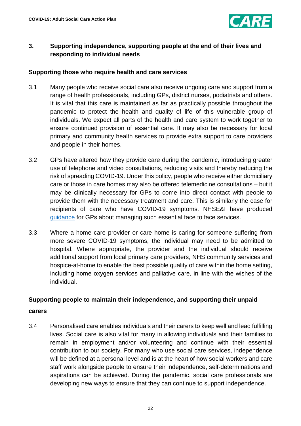

# **3. Supporting independence, supporting people at the end of their lives and responding to individual needs**

# <span id="page-21-0"></span>**Supporting those who require health and care services**

- 3.1 Many people who receive social care also receive ongoing care and support from a range of health professionals, including GPs, district nurses, podiatrists and others. It is vital that this care is maintained as far as practically possible throughout the pandemic to protect the health and quality of life of this vulnerable group of individuals. We expect all parts of the health and care system to work together to ensure continued provision of essential care. It may also be necessary for local primary and community health services to provide extra support to care providers and people in their homes.
- 3.2 GPs have altered how they provide care during the pandemic, introducing greater use of telephone and video consultations, reducing visits and thereby reducing the risk of spreading COVID-19. Under this policy, people who receive either domiciliary care or those in care homes may also be offered telemedicine consultations – but it may be clinically necessary for GPs to come into direct contact with people to provide them with the necessary treatment and care. This is similarly the case for recipients of care who have COVID-19 symptoms. NHSE&I have produced [guidance](https://www.england.nhs.uk/coronavirus/wp-content/uploads/sites/52/2020/03/C0133-COVID-19-Primary-Care-SOP-GP-practice_V2.1_6-April.pdf) for GPs about managing such essential face to face services.
- 3.3 Where a home care provider or care home is caring for someone suffering from more severe COVID-19 symptoms, the individual may need to be admitted to hospital. Where appropriate, the provider and the individual should receive additional support from local primary care providers, NHS community services and hospice-at-home to enable the best possible quality of care within the home setting, including home oxygen services and palliative care, in line with the wishes of the individual.

# <span id="page-21-1"></span>**Supporting people to maintain their independence, and supporting their unpaid**

#### **carers**

3.4 Personalised care enables individuals and their carers to keep well and lead fulfilling lives. Social care is also vital for many in allowing individuals and their families to remain in employment and/or volunteering and continue with their essential contribution to our society. For many who use social care services, independence will be defined at a personal level and is at the heart of how social workers and care staff work alongside people to ensure their independence, self-determinations and aspirations can be achieved. During the pandemic, social care professionals are developing new ways to ensure that they can continue to support independence.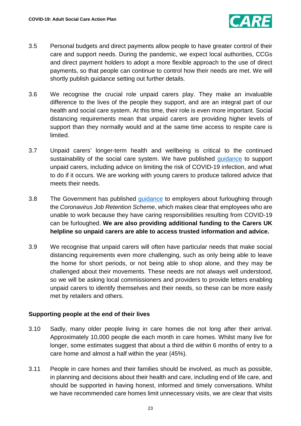

- 3.5 Personal budgets and direct payments allow people to have greater control of their care and support needs. During the pandemic, we expect local authorities, CCGs and direct payment holders to adopt a more flexible approach to the use of direct payments, so that people can continue to control how their needs are met. We will shortly publish guidance setting out further details.
- 3.6 We recognise the crucial role unpaid carers play. They make an invaluable difference to the lives of the people they support, and are an integral part of our health and social care system. At this time, their role is even more important. Social distancing requirements mean that unpaid carers are providing higher levels of support than they normally would and at the same time access to respite care is limited.
- 3.7 Unpaid carers' longer-term health and wellbeing is critical to the continued sustainability of the social care system. We have published [guidance](https://www.gov.uk/government/publications/coronavirus-covid-19-providing-unpaid-care/guidance-for-those-who-provide-unpaid-care-to-friends-or-family) to support unpaid carers, including advice on limiting the risk of COVID-19 infection, and what to do if it occurs. We are working with young carers to produce tailored advice that meets their needs.
- 3.8 The Government has published quidance to employers about furloughing through the *Coronavirus Job Retention Scheme*, which makes clear that employees who are unable to work because they have caring responsibilities resulting from COVID-19 can be furloughed. **We are also providing additional funding to the Carers UK helpline so unpaid carers are able to access trusted information and advice.**
- 3.9 We recognise that unpaid carers will often have particular needs that make social distancing requirements even more challenging, such as only being able to leave the home for short periods, or not being able to shop alone, and they may be challenged about their movements. These needs are not always well understood, so we will be asking local commissioners and providers to provide letters enabling unpaid carers to identify themselves and their needs, so these can be more easily met by retailers and others.

# <span id="page-22-0"></span>**Supporting people at the end of their lives**

- 3.10 Sadly, many older people living in care homes die not long after their arrival. Approximately 10,000 people die each month in care homes. Whilst many live for longer, some estimates suggest that about a third die within 6 months of entry to a care home and almost a half within the year (45%).
- 3.11 People in care homes and their families should be involved, as much as possible, in planning and decisions about their health and care, including end of life care, and should be supported in having honest, informed and timely conversations. Whilst we have recommended care homes limit unnecessary visits, we are clear that visits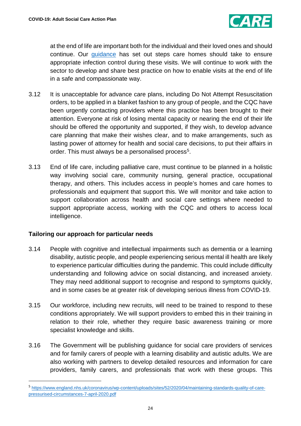

at the end of life are important both for the individual and their loved ones and should continue. Our [guidance](https://www.gov.uk/government/publications/coronavirus-covid-19-admission-and-care-of-people-in-care-homes) has set out steps care homes should take to ensure appropriate infection control during these visits. We will continue to work with the sector to develop and share best practice on how to enable visits at the end of life in a safe and compassionate way.

- 3.12 It is unacceptable for advance care plans, including Do Not Attempt Resuscitation orders, to be applied in a blanket fashion to any group of people, and the CQC have been urgently contacting providers where this practice has been brought to their attention. Everyone at risk of losing mental capacity or nearing the end of their life should be offered the opportunity and supported, if they wish, to develop advance care planning that make their wishes clear, and to make arrangements, such as lasting power of attorney for health and social care decisions, to put their affairs in order. This must always be a personalised process<sup>[5](#page-23-1)</sup>.
- 3.13 End of life care, including palliative care, must continue to be planned in a holistic way involving social care, community nursing, general practice, occupational therapy, and others. This includes access in people's homes and care homes to professionals and equipment that support this. We will monitor and take action to support collaboration across health and social care settings where needed to support appropriate access, working with the CQC and others to access local intelligence.

# <span id="page-23-0"></span>**Tailoring our approach for particular needs**

- 3.14 People with cognitive and intellectual impairments such as dementia or a learning disability, autistic people, and people experiencing serious mental ill health are likely to experience particular difficulties during the pandemic. This could include difficulty understanding and following advice on social distancing, and increased anxiety. They may need additional support to recognise and respond to symptoms quickly, and in some cases be at greater risk of developing serious illness from COVID-19.
- 3.15 Our workforce, including new recruits, will need to be trained to respond to these conditions appropriately. We will support providers to embed this in their training in relation to their role, whether they require basic awareness training or more specialist knowledge and skills.
- 3.16 The Government will be publishing guidance for social care providers of services and for family carers of people with a learning disability and autistic adults. We are also working with partners to develop detailed resources and information for care providers, family carers, and professionals that work with these groups. This

<span id="page-23-1"></span> <sup>5</sup> [https://www.england.nhs.uk/coronavirus/wp-content/uploads/sites/52/2020/04/maintaining-standards-quality-of-care](https://www.england.nhs.uk/coronavirus/wp-content/uploads/sites/52/2020/04/maintaining-standards-quality-of-care-pressurised-circumstances-7-april-2020.pdf)[pressurised-circumstances-7-april-2020.pdf](https://www.england.nhs.uk/coronavirus/wp-content/uploads/sites/52/2020/04/maintaining-standards-quality-of-care-pressurised-circumstances-7-april-2020.pdf)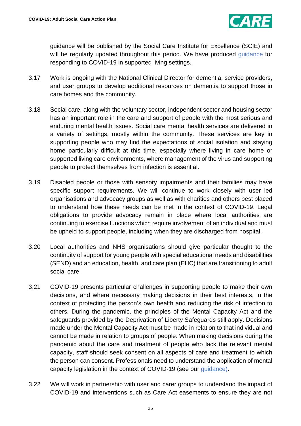

guidance will be published by the Social Care Institute for Excellence (SCIE) and will be regularly updated throughout this period. We have produced [guidance](https://www.gov.uk/government/publications/covid-19-residential-care-supported-living-and-home-care-guidance) for responding to COVID-19 in supported living settings.

- 3.17 Work is ongoing with the National Clinical Director for dementia, service providers, and user groups to develop additional resources on dementia to support those in care homes and the community.
- 3.18 Social care, along with the voluntary sector, independent sector and housing sector has an important role in the care and support of people with the most serious and enduring mental health issues. Social care mental health services are delivered in a variety of settings, mostly within the community. These services are key in supporting people who may find the expectations of social isolation and staying home particularly difficult at this time, especially where living in care home or supported living care environments, where management of the virus and supporting people to protect themselves from infection is essential.
- 3.19 Disabled people or those with sensory impairments and their families may have specific support requirements. We will continue to work closely with user led organisations and advocacy groups as well as with charities and others best placed to understand how these needs can be met in the context of COVID-19. Legal obligations to provide advocacy remain in place where local authorities are continuing to exercise functions which require involvement of an individual and must be upheld to support people, including when they are discharged from hospital.
- 3.20 Local authorities and NHS organisations should give particular thought to the continuity of support for young people with special educational needs and disabilities (SEND) and an education, health, and care plan (EHC) that are transitioning to adult social care.
- 3.21 COVID-19 presents particular challenges in supporting people to make their own decisions, and where necessary making decisions in their best interests, in the context of protecting the person's own health and reducing the risk of infection to others. During the pandemic, the principles of the Mental Capacity Act and the safeguards provided by the Deprivation of Liberty Safeguards still apply. Decisions made under the Mental Capacity Act must be made in relation to that individual and cannot be made in relation to groups of people. When making decisions during the pandemic about the care and treatment of people who lack the relevant mental capacity, staff should seek consent on all aspects of care and treatment to which the person can consent. Professionals need to understand the application of mental capacity legislation in the context of COVID-19 (see our [guidance\)](https://www.gov.uk/government/publications/coronavirus-covid-19-looking-after-people-who-lack-mental-capacity).
- 3.22 We will work in partnership with user and carer groups to understand the impact of COVID-19 and interventions such as Care Act easements to ensure they are not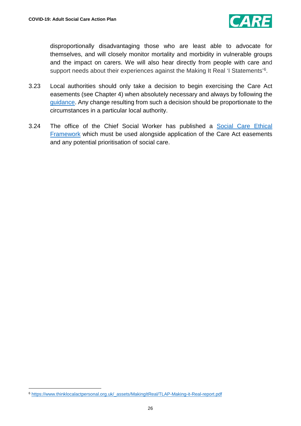

disproportionally disadvantaging those who are least able to advocate for themselves, and will closely monitor mortality and morbidity in vulnerable groups and the impact on carers. We will also hear directly from people with care and support needs about their experiences against the Making It Real 'I Statements'<sup>[6](#page-25-0)</sup>.

- 3.23 Local authorities should only take a decision to begin exercising the Care Act easements (see Chapter 4) when absolutely necessary and always by following the [guidance.](https://www.gov.uk/government/publications/coronavirus-covid-19-changes-to-the-care-act-2014/care-act-easements-guidance-for-local-authorities) Any change resulting from such a decision should be proportionate to the circumstances in a particular local authority.
- 3.24 The office of the Chief Social Worker has published a [Social Care Ethical](https://www.gov.uk/government/publications/covid-19-ethical-framework-for-adult-social-care)  [Framework](https://www.gov.uk/government/publications/covid-19-ethical-framework-for-adult-social-care) which must be used alongside application of the Care Act easements and any potential prioritisation of social care.

 $\overline{a}$ 

<span id="page-25-0"></span><sup>6</sup> [https://www.thinklocalactpersonal.org.uk/\\_assets/MakingItReal/TLAP-Making-it-Real-report.pdf](https://www.thinklocalactpersonal.org.uk/_assets/MakingItReal/TLAP-Making-it-Real-report.pdf)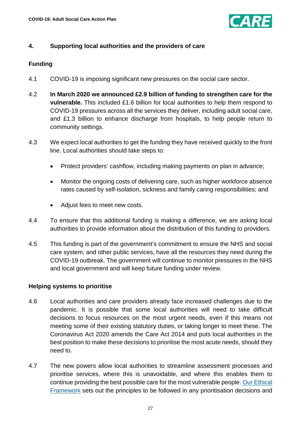

# <span id="page-26-0"></span>**4. Supporting local authorities and the providers of care**

# <span id="page-26-1"></span>**Funding**

- 4.1 COVID-19 is imposing significant new pressures on the social care sector.
- 4.2 **In March 2020 we announced £2.9 billion of funding to strengthen care for the vulnerable.** This included £1.6 billion for local authorities to help them respond to COVID-19 pressures across all the services they deliver, including adult social care, and £1.3 billion to enhance discharge from hospitals, to help people return to community settings.
- 4.3 We expect local authorities to get the funding they have received quickly to the front line. Local authorities should take steps to:
	- Protect providers' cashflow, including making payments on plan in advance;
	- Monitor the ongoing costs of delivering care, such as higher workforce absence rates caused by self-isolation, sickness and family caring responsibilities; and
	- Adjust fees to meet new costs.
- 4.4 To ensure that this additional funding is making a difference, we are asking local authorities to provide information about the distribution of this funding to providers.
- 4.5 This funding is part of the government's commitment to ensure the NHS and social care system, and other public services, have all the resources they need during the COVID-19 outbreak. The government will continue to monitor pressures in the NHS and local government and will keep future funding under review.

### <span id="page-26-2"></span>**Helping systems to prioritise**

- 4.6 Local authorities and care providers already face increased challenges due to the pandemic. It is possible that some local authorities will need to take difficult decisions to focus resources on the most urgent needs, even if this means not meeting some of their existing statutory duties, or taking longer to meet these. The Coronavirus Act 2020 amends the Care Act 2014 and puts local authorities in the best position to make these decisions to prioritise the most acute needs, should they need to.
- 4.7 The new powers allow local authorities to streamline assessment processes and prioritise services, where this is unavoidable, and where this enables them to continue providing the best possible care for the most vulnerable people. [Our Ethical](https://www.gov.uk/government/publications/covid-19-ethical-framework-for-adult-social-care)  [Framework](https://www.gov.uk/government/publications/covid-19-ethical-framework-for-adult-social-care) sets out the principles to be followed in any prioritisation decisions and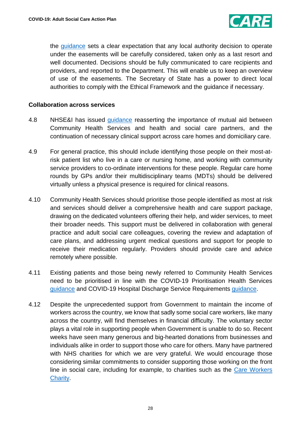

the [guidance](https://www.gov.uk/government/publications/coronavirus-covid-19-changes-to-the-care-act-2014/care-act-easements-guidance-for-local-authorities) sets a clear expectation that any local authority decision to operate under the easements will be carefully considered, taken only as a last resort and well documented. Decisions should be fully communicated to care recipients and providers, and reported to the Department. This will enable us to keep an overview of use of the easements. The Secretary of State has a power to direct local authorities to comply with the Ethical Framework and the guidance if necessary.

#### <span id="page-27-0"></span>**Collaboration across services**

- 4.8 NHSE&I has issued [guidance](https://www.england.nhs.uk/coronavirus/wp-content/uploads/sites/52/2020/03/C0145-COVID-19-prioritisation-within-community-health-services-1-April-2020.pdf) reasserting the importance of mutual aid between Community Health Services and health and social care partners, and the continuation of necessary clinical support across care homes and domiciliary care.
- 4.9 For general practice, this should include identifying those people on their most-atrisk patient list who live in a care or nursing home, and working with community service providers to co-ordinate interventions for these people. Regular care home rounds by GPs and/or their multidisciplinary teams (MDTs) should be delivered virtually unless a physical presence is required for clinical reasons.
- 4.10 Community Health Services should prioritise those people identified as most at risk and services should deliver a comprehensive health and care support package, drawing on the dedicated volunteers offering their help, and wider services, to meet their broader needs. This support must be delivered in collaboration with general practice and adult social care colleagues, covering the review and adaptation of care plans, and addressing urgent medical questions and support for people to receive their medication regularly. Providers should provide care and advice remotely where possible.
- 4.11 Existing patients and those being newly referred to Community Health Services need to be prioritised in line with the COVID-19 Prioritisation Health Services [guidance](https://www.england.nhs.uk/coronavirus/publication/covid-19-prioritisation-within-community-health-services-with-annex_19-march-2020/) and COVID-19 Hospital Discharge Service Requirements [guidance.](https://www.england.nhs.uk/coronavirus/publication/covid-19-hospital-discharge-service-requirements/)
- 4.12 Despite the unprecedented support from Government to maintain the income of workers across the country, we know that sadly some social care workers, like many across the country, will find themselves in financial difficulty. The voluntary sector plays a vital role in supporting people when Government is unable to do so. Recent weeks have seen many generous and big-hearted donations from businesses and individuals alike in order to support those who care for others. Many have partnered with NHS charities for which we are very grateful. We would encourage those considering similar commitments to consider supporting those working on the front line in social care, including for example, to charities such as the [Care Workers](https://www.thecareworkerscharity.org.uk/)  [Charity.](https://www.thecareworkerscharity.org.uk/)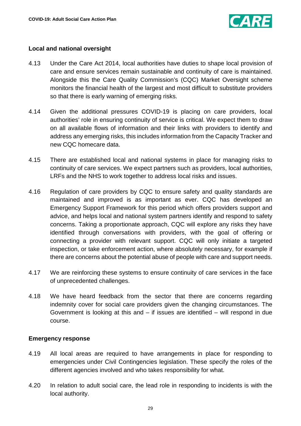

# <span id="page-28-0"></span>**Local and national oversight**

- 4.13 Under the Care Act 2014, local authorities have duties to shape local provision of care and ensure services remain sustainable and continuity of care is maintained. Alongside this the Care Quality Commission's (CQC) Market Oversight scheme monitors the financial health of the largest and most difficult to substitute providers so that there is early warning of emerging risks.
- 4.14 Given the additional pressures COVID-19 is placing on care providers, local authorities' role in ensuring continuity of service is critical. We expect them to draw on all available flows of information and their links with providers to identify and address any emerging risks, this includes information from the Capacity Tracker and new CQC homecare data.
- 4.15 There are established local and national systems in place for managing risks to continuity of care services. We expect partners such as providers, local authorities, LRFs and the NHS to work together to address local risks and issues.
- 4.16 Regulation of care providers by CQC to ensure safety and quality standards are maintained and improved is as important as ever. CQC has developed an Emergency Support Framework for this period which offers providers support and advice, and helps local and national system partners identify and respond to safety concerns. Taking a proportionate approach, CQC will explore any risks they have identified through conversations with providers, with the goal of offering or connecting a provider with relevant support. CQC will only initiate a targeted inspection, or take enforcement action, where absolutely necessary, for example if there are concerns about the potential abuse of people with care and support needs.
- 4.17 We are reinforcing these systems to ensure continuity of care services in the face of unprecedented challenges.
- 4.18 We have heard feedback from the sector that there are concerns regarding indemnity cover for social care providers given the changing circumstances. The Government is looking at this and – if issues are identified – will respond in due course.

### <span id="page-28-1"></span>**Emergency response**

- 4.19 All local areas are required to have arrangements in place for responding to emergencies under Civil Contingencies legislation. These specify the roles of the different agencies involved and who takes responsibility for what.
- 4.20 In relation to adult social care, the lead role in responding to incidents is with the local authority.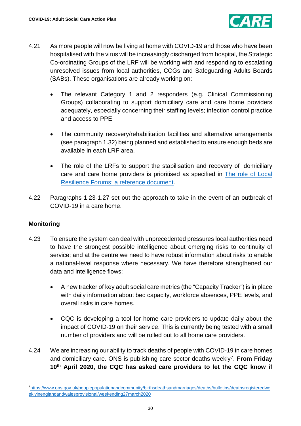

- 4.21 As more people will now be living at home with COVID-19 and those who have been hospitalised with the virus will be increasingly discharged from hospital, the Strategic Co-ordinating Groups of the LRF will be working with and responding to escalating unresolved issues from local authorities, CCGs and Safeguarding Adults Boards (SABs). These organisations are already working on:
	- The relevant Category 1 and 2 responders (e.g. Clinical Commissioning Groups) collaborating to support domiciliary care and care home providers adequately, especially concerning their staffing levels; infection control practice and access to PPE
	- The community recovery/rehabilitation facilities and alternative arrangements (see paragraph 1.32) being planned and established to ensure enough beds are available in each LRF area.
	- The role of the LRFs to support the stabilisation and recovery of domiciliary care and care home providers is prioritised as specified in [The role of Local](https://www.gov.uk/government/publications/the-role-of-local-resilience-forums-a-reference-document)  [Resilience Forums: a reference document.](https://www.gov.uk/government/publications/the-role-of-local-resilience-forums-a-reference-document)
- 4.22 Paragraphs 1.23-1.27 set out the approach to take in the event of an outbreak of COVID-19 in a care home.

# <span id="page-29-0"></span>**Monitoring**

- 4.23 To ensure the system can deal with unprecedented pressures local authorities need to have the strongest possible intelligence about emerging risks to continuity of service; and at the centre we need to have robust information about risks to enable a national-level response where necessary. We have therefore strengthened our data and intelligence flows:
	- A new tracker of key adult social care metrics (the "Capacity Tracker") is in place with daily information about bed capacity, workforce absences, PPE levels, and overall risks in care homes.
	- CQC is developing a tool for home care providers to update daily about the impact of COVID-19 on their service. This is currently being tested with a small number of providers and will be rolled out to all home care providers.
- 4.24 We are increasing our ability to track deaths of people with COVID-19 in care homes and domiciliary care. ONS is publishing care sector deaths weekly[7](#page-29-1). **From Friday 10th April 2020, the CQC has asked care providers to let the CQC know if**

<span id="page-29-1"></span> $\frac{1}{7}$ <sup>7</sup>[https://www.ons.gov.uk/peoplepopulationandcommunity/birthsdeathsandmarriages/deaths/bulletins/deathsregisteredwe](https://www.ons.gov.uk/peoplepopulationandcommunity/birthsdeathsandmarriages/deaths/bulletins/deathsregisteredweeklyinenglandandwalesprovisional/weekending27march2020) [eklyinenglandandwalesprovisional/weekending27march2020](https://www.ons.gov.uk/peoplepopulationandcommunity/birthsdeathsandmarriages/deaths/bulletins/deathsregisteredweeklyinenglandandwalesprovisional/weekending27march2020)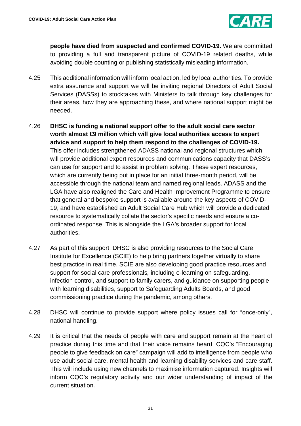

**people have died from suspected and confirmed COVID-19.** We are committed to providing a full and transparent picture of COVID-19 related deaths, while avoiding double counting or publishing statistically misleading information.

- 4.25 This additional information will inform local action, led by local authorities. To provide extra assurance and support we will be inviting regional Directors of Adult Social Services (DASSs) to stocktakes with Ministers to talk through key challenges for their areas, how they are approaching these, and where national support might be needed.
- 4.26 **DHSC is funding a national support offer to the adult social care sector worth almost £9 million which will give local authorities access to expert advice and support to help them respond to the challenges of COVID-19.** This offer includes strengthened ADASS national and regional structures which will provide additional expert resources and communications capacity that DASS's can use for support and to assist in problem solving. These expert resources, which are currently being put in place for an initial three-month period, will be accessible through the national team and named regional leads. ADASS and the LGA have also realigned the Care and Health Improvement Programme to ensure that general and bespoke support is available around the key aspects of COVID-19, and have established an Adult Social Care Hub which will provide a dedicated resource to systematically collate the sector's specific needs and ensure a coordinated response. This is alongside the LGA's broader support for local authorities.
- 4.27 As part of this support, DHSC is also providing resources to the Social Care Institute for Excellence (SCIE) to help bring partners together virtually to share best practice in real time. SCIE are also developing good practice resources and support for social care professionals*,* including e-learning on safeguarding, infection control, and support to family carers, and guidance on supporting people with learning disabilities, support to Safeguarding Adults Boards, and good commissioning practice during the pandemic, among others.
- 4.28 DHSC will continue to provide support where policy issues call for "once-only", national handling.
- 4.29 It is critical that the needs of people with care and support remain at the heart of practice during this time and that their voice remains heard. CQC's "Encouraging people to give feedback on care" campaign will add to intelligence from people who use adult social care, mental health and learning disability services and care staff. This will include using new channels to maximise information captured. Insights will inform CQC's regulatory activity and our wider understanding of impact of the current situation.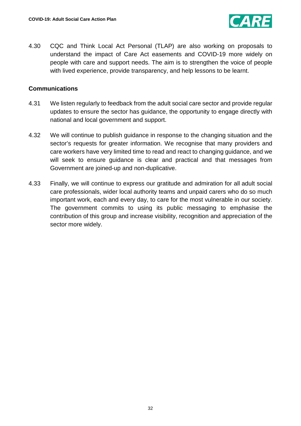

4.30 CQC and Think Local Act Personal (TLAP) are also working on proposals to understand the impact of Care Act easements and COVID-19 more widely on people with care and support needs. The aim is to strengthen the voice of people with lived experience, provide transparency, and help lessons to be learnt.

### <span id="page-31-0"></span>**Communications**

- 4.31 We listen regularly to feedback from the adult social care sector and provide regular updates to ensure the sector has guidance, the opportunity to engage directly with national and local government and support.
- 4.32 We will continue to publish guidance in response to the changing situation and the sector's requests for greater information. We recognise that many providers and care workers have very limited time to read and react to changing guidance, and we will seek to ensure guidance is clear and practical and that messages from Government are joined-up and non-duplicative.
- 4.33 Finally, we will continue to express our gratitude and admiration for all adult social care professionals, wider local authority teams and unpaid carers who do so much important work, each and every day, to care for the most vulnerable in our society. The government commits to using its public messaging to emphasise the contribution of this group and increase visibility, recognition and appreciation of the sector more widely.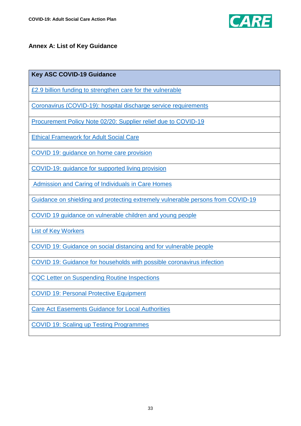

# <span id="page-32-0"></span>**Annex A: List of Key Guidance**

### **Key ASC COVID-19 Guidance**

[£2.9 billion funding to strengthen care for the vulnerable](https://www.gov.uk/government/news/2-9-billion-funding-to-strengthen-care-for-the-vulnerable)

[Coronavirus \(COVID-19\): hospital discharge service requirements](https://www.gov.uk/government/publications/coronavirus-covid-19-hospital-discharge-service-requirements)

[Procurement Policy Note 02/20: Supplier relief due to COVID-19](https://www.gov.uk/government/publications/procurement-policy-note-0220-supplier-relief-due-to-covid-19)

[Ethical Framework for Adult Social Care](https://www.gov.uk/government/publications/covid-19-ethical-framework-for-adult-social-care)

[COVID 19: guidance on home care provision](https://www.gov.uk/government/publications/covid-19-residential-care-supported-living-and-home-care-guidance/covid-19-guidance-on-home-care-provision)

[COVID-19: guidance for supported living provision](https://www.gov.uk/government/publications/covid-19-residential-care-supported-living-and-home-care-guidance/covid-19-guidance-for-supported-living-provision)

[Admission and Caring of Individuals in Care Homes](https://www.gov.uk/government/publications/coronavirus-covid-19-admission-and-care-of-people-in-care-homes)

[Guidance on shielding and protecting extremely vulnerable persons from COVID-19](https://www.gov.uk/government/publications/guidance-on-shielding-and-protecting-extremely-vulnerable-persons-from-covid-19)

[COVID 19 guidance on vulnerable children and young people](https://www.gov.uk/government/publications/coronavirus-covid-19-guidance-on-vulnerable-children-and-young-people)

[List of Key Workers](https://www.gov.uk/government/publications/coronavirus-covid-19-maintaining-educational-provision/guidance-for-schools-colleges-and-local-authorities-on-maintaining-educational-provision)

[COVID 19: Guidance on social distancing and for vulnerable people](https://www.gov.uk/government/publications/covid-19-guidance-on-social-distancing-and-for-vulnerable-people)

[COVID 19: Guidance for households with possible coronavirus infection](https://www.gov.uk/government/publications/covid-19-stay-at-home-guidance)

[CQC Letter on Suspending Routine Inspections](https://www.cqc.org.uk/news/stories/routine-inspections-suspended-response-coronavirus-outbreak)

[COVID 19: Personal Protective Equipment](https://www.gov.uk/government/publications/wuhan-novel-coronavirus-infection-prevention-and-control/covid-19-personal-protective-equipment-ppe)

[Care Act Easements Guidance for Local Authorities](https://www.gov.uk/government/publications/coronavirus-covid-19-changes-to-the-care-act-2014/care-act-easements-guidance-for-local-authorities)

[COVID 19: Scaling up Testing Programmes](https://www.gov.uk/government/publications/coronavirus-covid-19-scaling-up-testing-programmes)